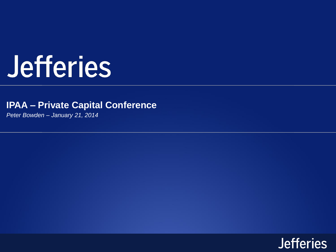# Jefferies

# **IPAA – Private Capital Conference**

*Peter Bowden – January 21, 2014*

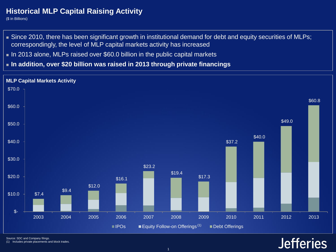# **Historical MLP Capital Raising Activity**

(\$ in Billions)

- Since 2010, there has been significant growth in institutional demand for debt and equity securities of MLPs; correspondingly, the level of MLP capital markets activity has increased
- In 2013 alone, MLPs raised over \$60.0 billion in the public capital markets
- **In addition, over \$20 billion was raised in 2013 through private financings**



**Jefferies** 

Source: SDC and Company filings.

(1) Includes private placements and block trades.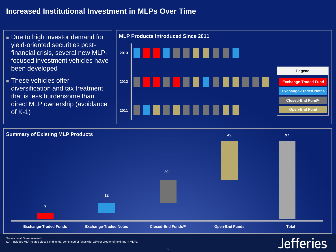# **Increased Institutional Investment in MLPs Over Time**





Source: Wall Street research.

(1) Includes MLP-related closed-end funds, comprised of funds with 25% or greater of holdings in MLPs.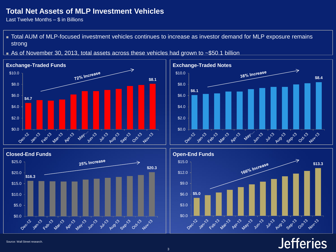### **Total Net Assets of MLP Investment Vehicles**

Last Twelve Months – \$ in Billions

 Total AUM of MLP-focused investment vehicles continues to increase as investor demand for MLP exposure remains strong









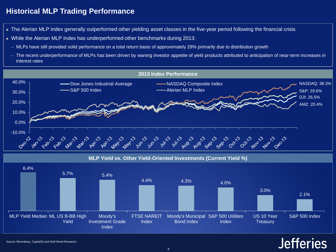# **Historical MLP Trading Performance**

- The Alerian MLP index generally outperformed other yielding asset classes in the five-year period following the financial crisis
- While the Alerian MLP Index has underperformed other benchmarks during 2013:
	- ─ MLPs have still provided solid performance on a total return basis of approximately 29% primarily due to distribution growth
	- ─ The recent underperformance of MLPs has been driven by waning investor appetite of yield products attributed to anticipation of near-term increases in interest rates



**MLP Yield vs. Other Yield-Oriented Investments (Current Yield %)**

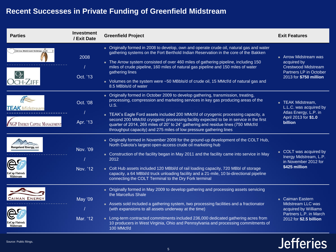# **Recent Successes in Private Funding of Greenfield Midstream**

| <b>Parties</b>                     | <b>Investment</b><br>/ Exit Date | <b>Greenfield Project</b>                                                                                                                                                                                                                                                                                                                                                                                                                                                                                                    | <b>Exit Features</b>                                                                                                   |
|------------------------------------|----------------------------------|------------------------------------------------------------------------------------------------------------------------------------------------------------------------------------------------------------------------------------------------------------------------------------------------------------------------------------------------------------------------------------------------------------------------------------------------------------------------------------------------------------------------------|------------------------------------------------------------------------------------------------------------------------|
| Arrow Midstream Holdings, LLC      | 2008<br>Oct. '13                 | Originally formed in 2008 to develop, own and operate crude oil, natural gas and water<br>gathering systems on the Fort Berthold Indian Reservation in the core of the Bakken<br>The Arrow system consisted of over 460 miles of gathering pipeline, including 150<br>miles of crude pipeline, 160 miles of natural gas pipeline and 150 miles of water<br>gathering lines<br>• Volumes on the system were ~50 MBbls/d of crude oil, 15 MMcf/d of natural gas and<br>8.5 MBbls/d of water                                    | • Arrow Midstream was<br>acquired by<br><b>Crestwood Midstream</b><br>Partners LP in October<br>2013 for \$750 million |
| NGP ENERGY CAPITAL MANAGEMENT      | Oct. '08<br>Apr. '13             | Originally formed in October 2009 to develop gathering, transmission, treating,<br>processing, compression and marketing services in key gas producing areas of the<br><b>U.S.</b><br>■ TEAK's Eagle Ford assets included 200 MMcf/d of cryogenic processing capacity, a<br>second 200 MMcf/d cryogenic processing facility expected to be in service in the first<br>quarter of 2014, 265 miles of 20" to 24" gathering and residue lines (750 MMcf/d<br>throughput capacity) and 275 miles of low pressure gathering lines | - TEAK Midstream,<br>L.L.C. was acquired by<br>Atlas Energy, L.P. in<br>April 2013 for \$1.0<br>billion                |
| Rangeland Energy, LLC<br>Midstream | Nov. '09<br>Nov. '12             | ■ Originally formed in November 2009 for the ground-up development of the COLT Hub,<br>North Dakota's largest open-access crude oil marketing hub<br>■ Construction of the facility began in May 2011 and the facility came into service in May<br>2012<br>Colt Hub assets included 120 MBbl/d of rail loading capacity, 720 MBbl of storage<br>capacity, a 64 MBbl/d truck unloading facility and a 21-mile, 10 bi-directional pipeline<br>connecting the COLT Terminal to the Dry Fork terminal                            | COLT was acquired by<br>Inergy Midstream, L.P.<br>in November 2012 for<br>\$425 million                                |
| CAIMAN ENERGY<br>Midstream         | May '09<br>Mar. '12              | ■ Originally formed in May 2009 to develop gathering and processing assets servicing<br>the Marcellus Shale<br>Assets sold included a gathering system, two processing facilities and a fractionator<br>(with expansions to all assets underway at the time)<br>Long-term contracted commitments included 236,000 dedicated gathering acres from<br>10 producers in West Virginia, Ohio and Pennsylvania and processing commitments of<br>100 MMcf/d                                                                         | • Caiman Eastern<br>Midstream LLC was<br>acquired by Williams<br>Partners L.P. in March<br>2012 for \$2.5 billion      |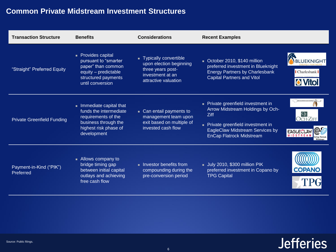# **Common Private Midstream Investment Structures**

| <b>Transaction Structure</b>         | <b>Benefits</b>                                                                                                                         | <b>Considerations</b>                                                                                             | <b>Recent Examples</b>                                                                                                                                                                 |                                    |
|--------------------------------------|-----------------------------------------------------------------------------------------------------------------------------------------|-------------------------------------------------------------------------------------------------------------------|----------------------------------------------------------------------------------------------------------------------------------------------------------------------------------------|------------------------------------|
| "Straight" Preferred Equity          | • Provides capital<br>pursuant to "smarter<br>paper" than common<br>equity - predictable<br>structured payments<br>until conversion     | Typically convertible<br>upon election beginning<br>three years post-<br>investment at an<br>attractive valuation | October 2010, \$140 million<br>preferred investment in Blueknight<br><b>Energy Partners by Charlesbank</b><br><b>Capital Partners and Vitol</b>                                        | Charlesbank <sup>I</sup>           |
| <b>Private Greenfield Funding</b>    | Immediate capital that<br>funds the intermediate<br>requirements of the<br>business through the<br>highest risk phase of<br>development | • Can entail payments to<br>management team upon<br>exit based on multiple of<br>invested cash flow               | Private greenfield investment in<br>Arrow Midstream Holdings by Och-<br>Ziff<br>Private greenfield investment in<br>EagleClaw Midstream Services by<br><b>EnCap Flatrock Midstream</b> | <b>EAGLECLAW</b><br><b>MIDSTRE</b> |
| Payment-in-Kind ("PIK")<br>Preferred | - Allows company to<br>bridge timing gap<br>between initial capital<br>outlays and achieving<br>free cash flow                          | Investor benefits from<br>compounding during the<br>pre-conversion period                                         | July 2010, \$300 million PIK<br>preferred investment in Copano by<br><b>TPG Capital</b>                                                                                                | <b>COPANO</b>                      |

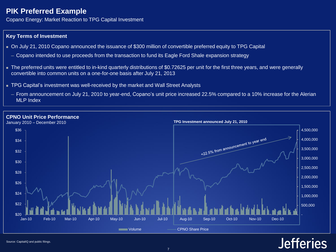### **PIK Preferred Example**

Copano Energy: Market Reaction to TPG Capital Investment

#### **Key Terms of Investment**

- On July 21, 2010 Copano announced the issuance of \$300 million of convertible preferred equity to TPG Capital
	- ─ Copano intended to use proceeds from the transaction to fund its Eagle Ford Shale expansion strategy
- The preferred units were entitled to in-kind quarterly distributions of \$0.72625 per unit for the first three years, and were generally convertible into common units on a one-for-one basis after July 21, 2013
- TPG Capital's investment was well-received by the market and Wall Street Analysts
	- ─ From announcement on July 21, 2010 to year-end, Copano's unit price increased 22.5% compared to a 10% increase for the Alerian MLP Index

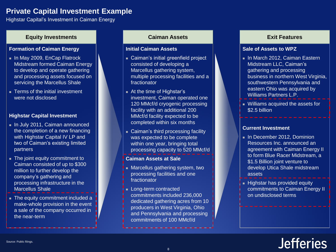### **Private Capital Investment Example**

Highstar Capital's Investment in Caiman Energy

#### **Equity Investments Caiman Assets Exit Features**

#### **Formation of Caiman Energy**

- In May 2009, EnCap Flatrock Midstream formed Caiman Energy to develop and operate gathering and processing assets focused on servicing the Marcellus Shale
- **Terms of the initial investment** were not disclosed

#### **Highstar Capital Investment**

- In July 2011, Caiman announced the completion of a new financing with Highstar Capital IV LP and two of Caiman's existing limited partners
- The joint equity commitment to Caiman consisted of up to \$300 million to further develop the company's gathering and processing infrastructure in the Marcellus Shale
- **The equity commitment included a** make-whole provision in the event a sale of the company occurred in the near-term

#### **Initial Caiman Assets**

- Caiman's initial greenfield project consisted of developing a Marcellus gathering system, multiple processing facilities and a fractionator
- At the time of Highstar's investment, Caiman operated one 120 MMcf/d cryogenic processing facility with an additional 200 MMcf/d facility expected to be completed within six months
- Caiman's third processing facility was expected to be complete within one year, bringing total processing capacity to 520 MMcf/d

#### **Caiman Assets at Sale**

- **Marcellus gathering system, two** processing facilities and one fractionator
- **Long-term contracted** commitments included 236,000 dedicated gathering acres from 10 producers in West Virginia, Ohio and Pennsylvania and processing commitments of 100 MMcf/d

#### **Sale of Assets to WPZ**

- **In March 2012, Caiman Eastern** Midstream LLC, Caiman's gathering and processing business in northern West Virginia, southwestern Pennsylvania and eastern Ohio was acquired by Williams Partners L.P.
- Williams acquired the assets for \$2.5 billion

#### **Current Investment**

- In December 2012, Dominion Resources Inc. announced an agreement with Caiman Energy II to form Blue Racer Midstream, a \$1.5 Billion joint venture to develop Utica Shale midstream assets
- **Highstar has provided equity** commitments to Caiman Energy II on undisclosed terms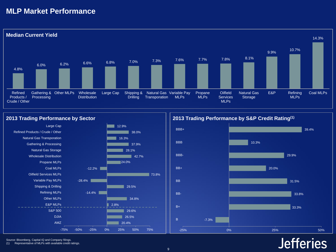### **MLP Market Performance**





Source: Bloomberg, Capital IQ and Company filings.

(1) Representative of MLPs with available credit ratings.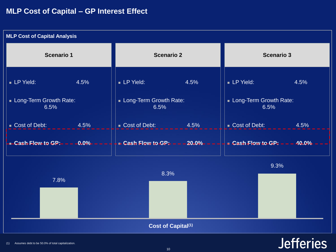### **MLP Cost of Capital – GP Interest Effect**

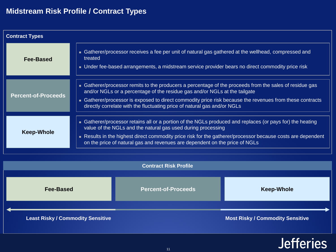# **Midstream Risk Profile / Contract Types**

| <b>Contract Types</b>      |                                                                                                                                                                                                                                                                                                                                                                               |  |  |  |
|----------------------------|-------------------------------------------------------------------------------------------------------------------------------------------------------------------------------------------------------------------------------------------------------------------------------------------------------------------------------------------------------------------------------|--|--|--|
| Fee-Based                  | Gatherer/processor receives a fee per unit of natural gas gathered at the wellhead, compressed and<br>treated<br>• Under fee-based arrangements, a midstream service provider bears no direct commodity price risk                                                                                                                                                            |  |  |  |
| <b>Percent-of-Proceeds</b> | • Gatherer/processor remits to the producers a percentage of the proceeds from the sales of residue gas<br>and/or NGLs or a percentage of the residue gas and/or NGLs at the tailgate<br>■ Gatherer/processor is exposed to direct commodity price risk because the revenues from these contracts<br>directly correlate with the fluctuating price of natural gas and/or NGLs |  |  |  |
| <b>Keep-Whole</b>          | ■ Gatherer/processor retains all or a portion of the NGLs produced and replaces (or pays for) the heating<br>value of the NGLs and the natural gas used during processing<br>Results in the highest direct commodity price risk for the gatherer/processor because costs are dependent<br>on the price of natural gas and revenues are dependent on the price of NGLs         |  |  |  |

|                                          | <b>Contract Risk Profile</b> |                                         |
|------------------------------------------|------------------------------|-----------------------------------------|
| <b>Fee-Based</b>                         | <b>Percent-of-Proceeds</b>   | <b>Keep-Whole</b>                       |
| <b>Least Risky / Commodity Sensitive</b> |                              | <b>Most Risky / Commodity Sensitive</b> |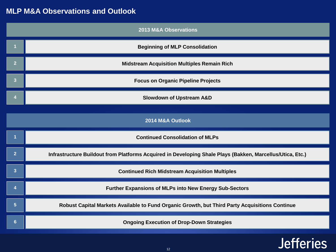# **MLP M&A Observations and Outlook**

| <b>2013 M&amp;A Observations</b> |                                                                                                           |  |  |  |
|----------------------------------|-----------------------------------------------------------------------------------------------------------|--|--|--|
|                                  | <b>Beginning of MLP Consolidation</b>                                                                     |  |  |  |
| $\overline{2}$                   | <b>Midstream Acquisition Multiples Remain Rich</b>                                                        |  |  |  |
| 3                                | <b>Focus on Organic Pipeline Projects</b>                                                                 |  |  |  |
|                                  | <b>Slowdown of Upstream A&amp;D</b>                                                                       |  |  |  |
| 2014 M&A Outlook                 |                                                                                                           |  |  |  |
|                                  | <b>Continued Consolidation of MLPs</b>                                                                    |  |  |  |
| $\mathbf{2}$                     | Infrastructure Buildout from Platforms Acquired in Developing Shale Plays (Bakken, Marcellus/Utica, Etc.) |  |  |  |
| 3                                | <b>Continued Rich Midstream Acquisition Multiples</b>                                                     |  |  |  |
| Δ                                | <b>Further Expansions of MLPs into New Energy Sub-Sectors</b>                                             |  |  |  |
| 5                                | Robust Capital Markets Available to Fund Organic Growth, but Third Party Acquisitions Continue            |  |  |  |
| $6 \overline{6}$                 | <b>Ongoing Execution of Drop-Down Strategies</b>                                                          |  |  |  |